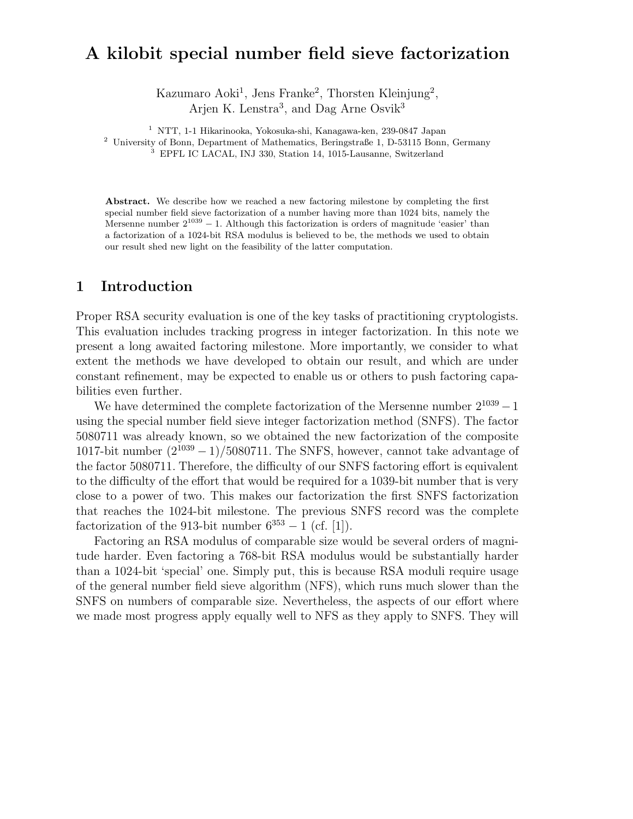# A kilobit special number field sieve factorization

Kazumaro Aoki<sup>1</sup>, Jens Franke<sup>2</sup>, Thorsten Kleinjung<sup>2</sup>, Arjen K. Lenstra<sup>3</sup>, and Dag Arne Osvik<sup>3</sup>

<sup>1</sup> NTT, 1-1 Hikarinooka, Yokosuka-shi, Kanagawa-ken, 239-0847 Japan

<sup>2</sup> University of Bonn, Department of Mathematics, Beringstraße 1, D-53115 Bonn, Germany

<sup>3</sup> EPFL IC LACAL, INJ 330, Station 14, 1015-Lausanne, Switzerland

Abstract. We describe how we reached a new factoring milestone by completing the first special number field sieve factorization of a number having more than 1024 bits, namely the Mersenne number  $2^{1039} - 1$ . Although this factorization is orders of magnitude 'easier' than a factorization of a 1024-bit RSA modulus is believed to be, the methods we used to obtain our result shed new light on the feasibility of the latter computation.

### 1 Introduction

Proper RSA security evaluation is one of the key tasks of practitioning cryptologists. This evaluation includes tracking progress in integer factorization. In this note we present a long awaited factoring milestone. More importantly, we consider to what extent the methods we have developed to obtain our result, and which are under constant refinement, may be expected to enable us or others to push factoring capabilities even further.

We have determined the complete factorization of the Mersenne number  $2^{1039} - 1$ using the special number field sieve integer factorization method (SNFS). The factor 5080711 was already known, so we obtained the new factorization of the composite 1017-bit number  $(2^{1039} - 1)/5080711$ . The SNFS, however, cannot take advantage of the factor 5080711. Therefore, the difficulty of our SNFS factoring effort is equivalent to the difficulty of the effort that would be required for a 1039-bit number that is very close to a power of two. This makes our factorization the first SNFS factorization that reaches the 1024-bit milestone. The previous SNFS record was the complete factorization of the 913-bit number  $6^{353} - 1$  (cf. [1]).

Factoring an RSA modulus of comparable size would be several orders of magnitude harder. Even factoring a 768-bit RSA modulus would be substantially harder than a 1024-bit 'special' one. Simply put, this is because RSA moduli require usage of the general number field sieve algorithm (NFS), which runs much slower than the SNFS on numbers of comparable size. Nevertheless, the aspects of our effort where we made most progress apply equally well to NFS as they apply to SNFS. They will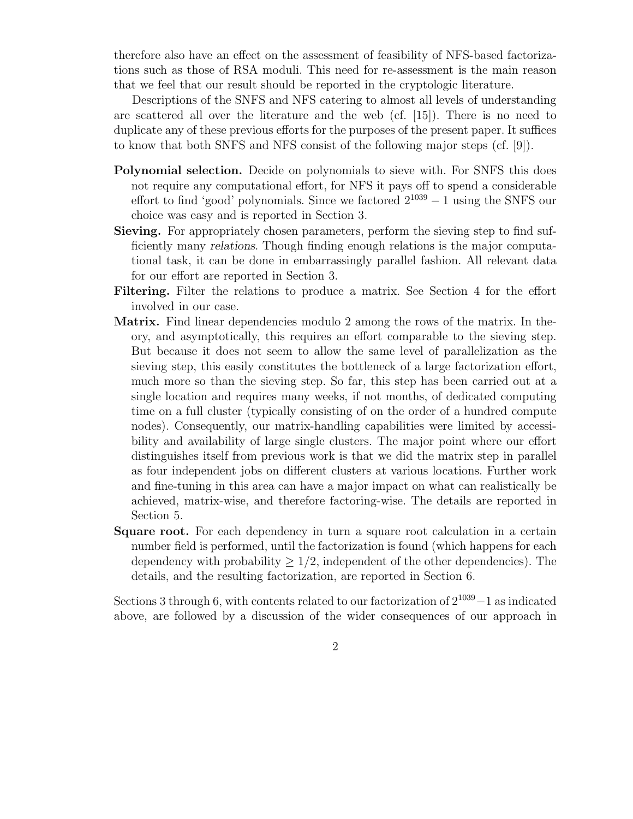therefore also have an effect on the assessment of feasibility of NFS-based factorizations such as those of RSA moduli. This need for re-assessment is the main reason that we feel that our result should be reported in the cryptologic literature.

Descriptions of the SNFS and NFS catering to almost all levels of understanding are scattered all over the literature and the web (cf. [15]). There is no need to duplicate any of these previous efforts for the purposes of the present paper. It suffices to know that both SNFS and NFS consist of the following major steps (cf. [9]).

- Polynomial selection. Decide on polynomials to sieve with. For SNFS this does not require any computational effort, for NFS it pays off to spend a considerable effort to find 'good' polynomials. Since we factored  $2^{1039} - 1$  using the SNFS our choice was easy and is reported in Section 3.
- Sieving. For appropriately chosen parameters, perform the sieving step to find sufficiently many relations. Though finding enough relations is the major computational task, it can be done in embarrassingly parallel fashion. All relevant data for our effort are reported in Section 3.
- Filtering. Filter the relations to produce a matrix. See Section 4 for the effort involved in our case.
- Matrix. Find linear dependencies modulo 2 among the rows of the matrix. In theory, and asymptotically, this requires an effort comparable to the sieving step. But because it does not seem to allow the same level of parallelization as the sieving step, this easily constitutes the bottleneck of a large factorization effort, much more so than the sieving step. So far, this step has been carried out at a single location and requires many weeks, if not months, of dedicated computing time on a full cluster (typically consisting of on the order of a hundred compute nodes). Consequently, our matrix-handling capabilities were limited by accessibility and availability of large single clusters. The major point where our effort distinguishes itself from previous work is that we did the matrix step in parallel as four independent jobs on different clusters at various locations. Further work and fine-tuning in this area can have a major impact on what can realistically be achieved, matrix-wise, and therefore factoring-wise. The details are reported in Section 5.
- **Square root.** For each dependency in turn a square root calculation in a certain number field is performed, until the factorization is found (which happens for each dependency with probability  $\geq 1/2$ , independent of the other dependencies). The details, and the resulting factorization, are reported in Section 6.

Sections 3 through 6, with contents related to our factorization of  $2^{1039} - 1$  as indicated above, are followed by a discussion of the wider consequences of our approach in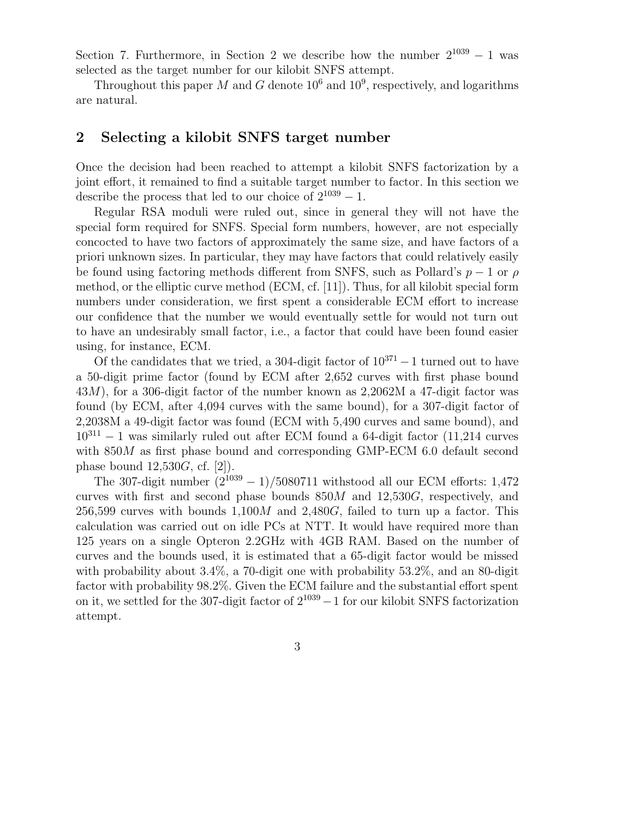Section 7. Furthermore, in Section 2 we describe how the number  $2^{1039} - 1$  was selected as the target number for our kilobit SNFS attempt.

Throughout this paper M and G denote  $10^6$  and  $10^9$ , respectively, and logarithms are natural.

#### 2 Selecting a kilobit SNFS target number

Once the decision had been reached to attempt a kilobit SNFS factorization by a joint effort, it remained to find a suitable target number to factor. In this section we describe the process that led to our choice of  $2^{1039} - 1$ .

Regular RSA moduli were ruled out, since in general they will not have the special form required for SNFS. Special form numbers, however, are not especially concocted to have two factors of approximately the same size, and have factors of a priori unknown sizes. In particular, they may have factors that could relatively easily be found using factoring methods different from SNFS, such as Pollard's  $p-1$  or  $\rho$ method, or the elliptic curve method (ECM, cf. [11]). Thus, for all kilobit special form numbers under consideration, we first spent a considerable ECM effort to increase our confidence that the number we would eventually settle for would not turn out to have an undesirably small factor, i.e., a factor that could have been found easier using, for instance, ECM.

Of the candidates that we tried, a 304-digit factor of  $10^{371} - 1$  turned out to have a 50-digit prime factor (found by ECM after 2,652 curves with first phase bound 43M), for a 306-digit factor of the number known as 2,2062M a 47-digit factor was found (by ECM, after 4,094 curves with the same bound), for a 307-digit factor of 2,2038M a 49-digit factor was found (ECM with 5,490 curves and same bound), and  $10^{311} - 1$  was similarly ruled out after ECM found a 64-digit factor (11,214 curves with  $850M$  as first phase bound and corresponding GMP-ECM 6.0 default second phase bound  $12,530G$ , cf. [2]).

The 307-digit number  $(2^{1039} - 1)/5080711$  withstood all our ECM efforts: 1,472 curves with first and second phase bounds  $850M$  and  $12,530G$ , respectively, and  $256,599$  curves with bounds  $1,100M$  and  $2,480G$ , failed to turn up a factor. This calculation was carried out on idle PCs at NTT. It would have required more than 125 years on a single Opteron 2.2GHz with 4GB RAM. Based on the number of curves and the bounds used, it is estimated that a 65-digit factor would be missed with probability about 3.4%, a 70-digit one with probability 53.2%, and an 80-digit factor with probability 98.2%. Given the ECM failure and the substantial effort spent on it, we settled for the 307-digit factor of  $2^{1039} - 1$  for our kilobit SNFS factorization attempt.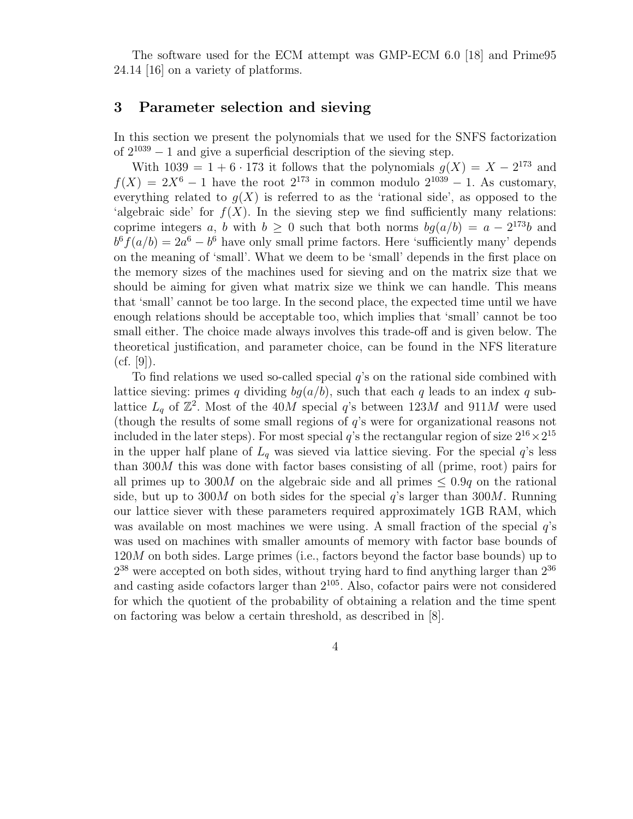The software used for the ECM attempt was GMP-ECM 6.0 [18] and Prime95 24.14 [16] on a variety of platforms.

#### 3 Parameter selection and sieving

In this section we present the polynomials that we used for the SNFS factorization of  $2^{1039} - 1$  and give a superficial description of the sieving step.

With  $1039 = 1 + 6 \cdot 173$  it follows that the polynomials  $g(X) = X - 2^{173}$  and  $f(X) = 2X^6 - 1$  have the root  $2^{173}$  in common modulo  $2^{1039} - 1$ . As customary, everything related to  $q(X)$  is referred to as the 'rational side', as opposed to the 'algebraic side' for  $f(X)$ . In the sieving step we find sufficiently many relations: coprime integers a, b with  $b \ge 0$  such that both norms  $bg(a/b) = a - 2^{173}b$  and  $b^6 f(a/b) = 2a^6 - b^6$  have only small prime factors. Here 'sufficiently many' depends on the meaning of 'small'. What we deem to be 'small' depends in the first place on the memory sizes of the machines used for sieving and on the matrix size that we should be aiming for given what matrix size we think we can handle. This means that 'small' cannot be too large. In the second place, the expected time until we have enough relations should be acceptable too, which implies that 'small' cannot be too small either. The choice made always involves this trade-off and is given below. The theoretical justification, and parameter choice, can be found in the NFS literature  $(cf. [9]).$ 

To find relations we used so-called special  $q$ 's on the rational side combined with lattice sieving: primes q dividing  $bq(a/b)$ , such that each q leads to an index q sublattice  $L_q$  of  $\mathbb{Z}^2$ . Most of the 40M special q's between 123M and 911M were used (though the results of some small regions of q's were for organizational reasons not included in the later steps). For most special q's the rectangular region of size  $2^{16} \times 2^{15}$ in the upper half plane of  $L_q$  was sieved via lattice sieving. For the special  $q$ 's less than 300M this was done with factor bases consisting of all (prime, root) pairs for all primes up to 300M on the algebraic side and all primes  $\leq 0.9q$  on the rational side, but up to 300M on both sides for the special  $q$ 's larger than 300M. Running our lattice siever with these parameters required approximately 1GB RAM, which was available on most machines we were using. A small fraction of the special  $q$ 's was used on machines with smaller amounts of memory with factor base bounds of  $120M$  on both sides. Large primes (i.e., factors beyond the factor base bounds) up to  $2^{38}$  were accepted on both sides, without trying hard to find anything larger than  $2^{36}$ and casting aside cofactors larger than 2<sup>105</sup>. Also, cofactor pairs were not considered for which the quotient of the probability of obtaining a relation and the time spent on factoring was below a certain threshold, as described in [8].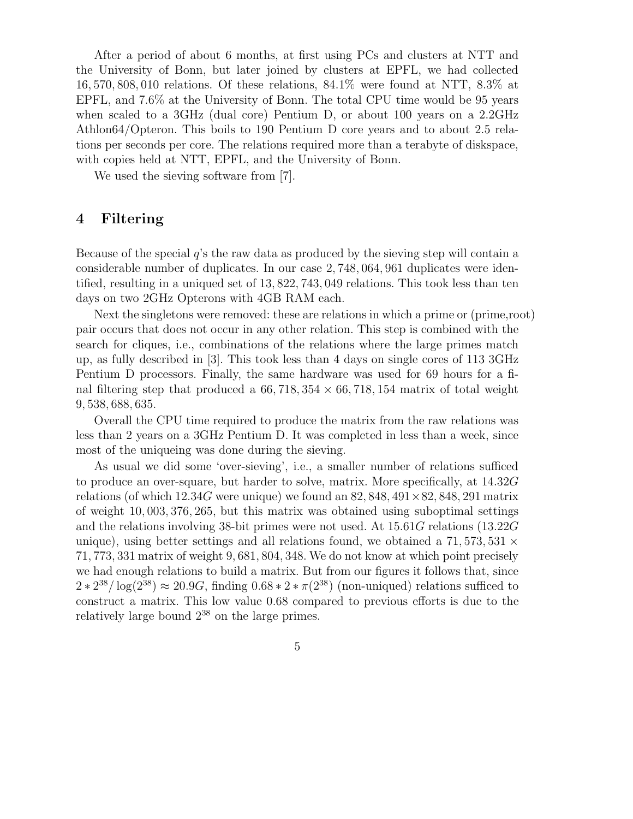After a period of about 6 months, at first using PCs and clusters at NTT and the University of Bonn, but later joined by clusters at EPFL, we had collected 16, 570, 808, 010 relations. Of these relations, 84.1% were found at NTT, 8.3% at EPFL, and 7.6% at the University of Bonn. The total CPU time would be 95 years when scaled to a 3GHz (dual core) Pentium D, or about 100 years on a 2.2GHz Athlon64/Opteron. This boils to 190 Pentium D core years and to about 2.5 relations per seconds per core. The relations required more than a terabyte of diskspace, with copies held at NTT, EPFL, and the University of Bonn.

We used the sieving software from [7].

### 4 Filtering

Because of the special q's the raw data as produced by the sieving step will contain a considerable number of duplicates. In our case 2, 748, 064, 961 duplicates were identified, resulting in a uniqued set of 13, 822, 743, 049 relations. This took less than ten days on two 2GHz Opterons with 4GB RAM each.

Next the singletons were removed: these are relations in which a prime or (prime,root) pair occurs that does not occur in any other relation. This step is combined with the search for cliques, i.e., combinations of the relations where the large primes match up, as fully described in [3]. This took less than 4 days on single cores of 113 3GHz Pentium D processors. Finally, the same hardware was used for 69 hours for a final filtering step that produced a  $66, 718, 354 \times 66, 718, 154$  matrix of total weight 9, 538, 688, 635.

Overall the CPU time required to produce the matrix from the raw relations was less than 2 years on a 3GHz Pentium D. It was completed in less than a week, since most of the uniqueing was done during the sieving.

As usual we did some 'over-sieving', i.e., a smaller number of relations sufficed to produce an over-square, but harder to solve, matrix. More specifically, at 14.32G relations (of which  $12.34G$  were unique) we found an  $82,848,491\times82,848,291$  matrix of weight 10, 003, 376, 265, but this matrix was obtained using suboptimal settings and the relations involving 38-bit primes were not used. At 15.61G relations (13.22G unique), using better settings and all relations found, we obtained a 71,573,531  $\times$ 71, 773, 331 matrix of weight 9, 681, 804, 348. We do not know at which point precisely we had enough relations to build a matrix. But from our figures it follows that, since  $2 * 2^{38} / \log(2^{38}) \approx 20.9G$ , finding  $0.68 * 2 * \pi(2^{38})$  (non-uniqued) relations sufficed to construct a matrix. This low value 0.68 compared to previous efforts is due to the relatively large bound  $2^{38}$  on the large primes.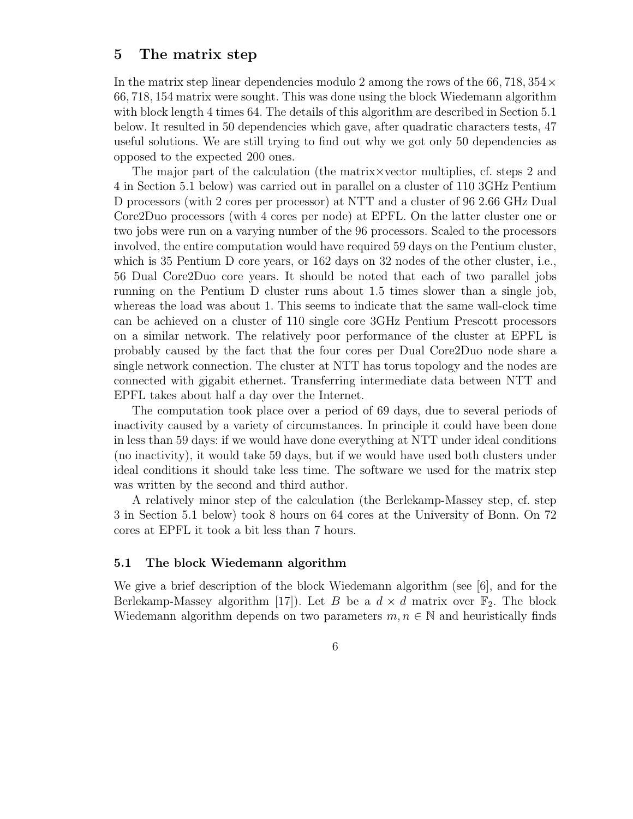#### 5 The matrix step

In the matrix step linear dependencies modulo 2 among the rows of the 66, 718,  $354 \times$ 66, 718, 154 matrix were sought. This was done using the block Wiedemann algorithm with block length 4 times 64. The details of this algorithm are described in Section 5.1 below. It resulted in 50 dependencies which gave, after quadratic characters tests, 47 useful solutions. We are still trying to find out why we got only 50 dependencies as opposed to the expected 200 ones.

The major part of the calculation (the matrix×vector multiplies, cf. steps 2 and 4 in Section 5.1 below) was carried out in parallel on a cluster of 110 3GHz Pentium D processors (with 2 cores per processor) at NTT and a cluster of 96 2.66 GHz Dual Core2Duo processors (with 4 cores per node) at EPFL. On the latter cluster one or two jobs were run on a varying number of the 96 processors. Scaled to the processors involved, the entire computation would have required 59 days on the Pentium cluster, which is 35 Pentium D core years, or 162 days on 32 nodes of the other cluster, i.e., 56 Dual Core2Duo core years. It should be noted that each of two parallel jobs running on the Pentium D cluster runs about 1.5 times slower than a single job, whereas the load was about 1. This seems to indicate that the same wall-clock time can be achieved on a cluster of 110 single core 3GHz Pentium Prescott processors on a similar network. The relatively poor performance of the cluster at EPFL is probably caused by the fact that the four cores per Dual Core2Duo node share a single network connection. The cluster at NTT has torus topology and the nodes are connected with gigabit ethernet. Transferring intermediate data between NTT and EPFL takes about half a day over the Internet.

The computation took place over a period of 69 days, due to several periods of inactivity caused by a variety of circumstances. In principle it could have been done in less than 59 days: if we would have done everything at NTT under ideal conditions (no inactivity), it would take 59 days, but if we would have used both clusters under ideal conditions it should take less time. The software we used for the matrix step was written by the second and third author.

A relatively minor step of the calculation (the Berlekamp-Massey step, cf. step 3 in Section 5.1 below) took 8 hours on 64 cores at the University of Bonn. On 72 cores at EPFL it took a bit less than 7 hours.

#### 5.1 The block Wiedemann algorithm

We give a brief description of the block Wiedemann algorithm (see [6], and for the Berlekamp-Massey algorithm [17]). Let B be a  $d \times d$  matrix over  $\mathbb{F}_2$ . The block Wiedemann algorithm depends on two parameters  $m, n \in \mathbb{N}$  and heuristically finds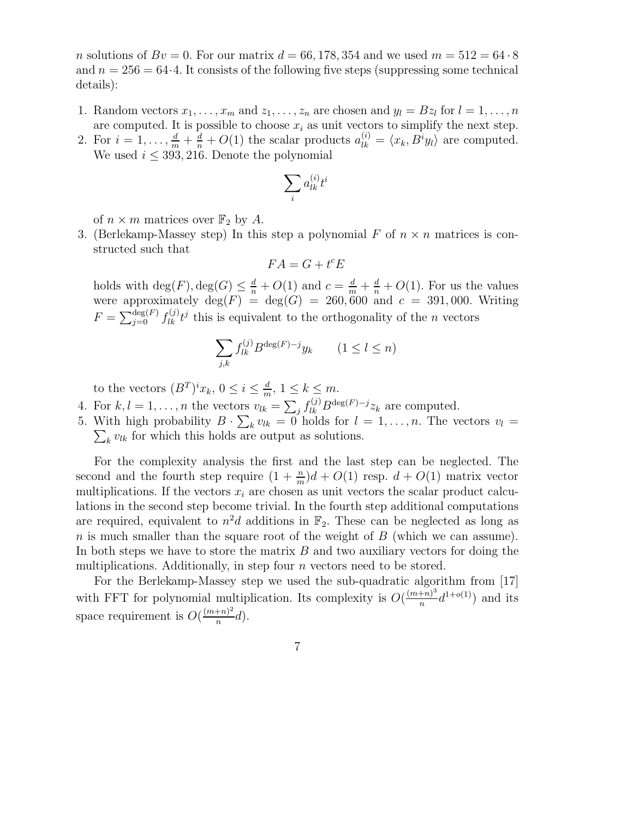n solutions of  $Bv = 0$ . For our matrix  $d = 66, 178, 354$  and we used  $m = 512 = 64.8$ and  $n = 256 = 64.4$ . It consists of the following five steps (suppressing some technical details):

- 1. Random vectors  $x_1, \ldots, x_m$  and  $z_1, \ldots, z_n$  are chosen and  $y_l = Bz_l$  for  $l = 1, \ldots, n$ are computed. It is possible to choose  $x_i$  as unit vectors to simplify the next step.
- 2. For  $i = 1, \ldots, \frac{d}{m} + \frac{d}{n} + O(1)$  the scalar products  $a_{lk}^{(i)} = \langle x_k, B^i y_l \rangle$  are computed. We used  $i \leq 393, 216$ . Denote the polynomial

$$
\sum_i a_{lk}^{(i)} t^i
$$

of  $n \times m$  matrices over  $\mathbb{F}_2$  by A.

3. (Berlekamp-Massey step) In this step a polynomial F of  $n \times n$  matrices is constructed such that

$$
FA = G + t^c E
$$

holds with  $\deg(F)$ ,  $\deg(G) \leq \frac{d}{n} + O(1)$  and  $c = \frac{d}{m} + \frac{d}{n} + O(1)$ . For us the values were approximately  $deg(F) = deg(G) = 260,600$  and  $c = 391,000$ . Writing  $F = \sum_{j=0}^{\deg(F)} f_{lk}^{(j)} t^j$  this is equivalent to the orthogonality of the *n* vectors

$$
\sum_{j,k} f_{lk}^{(j)} B^{\deg(F)-j} y_k \qquad (1 \le l \le n)
$$

to the vectors  $(B^T)^i x_k$ ,  $0 \leq i \leq \frac{d}{m}$ ,  $1 \leq k \leq m$ . m

- 4. For  $k, l = 1, \ldots, n$  the vectors  $v_{lk} = \sum_j f_{lk}^{(j)} B^{\deg(F)-j} z_k$  are computed.
- 5. With high probability  $B \cdot \sum_k v_{lk} = 0$  holds for  $l = 1, \ldots, n$ . The vectors  $v_l =$  $\sum_{k} v_{lk}$  for which this holds are output as solutions.

For the complexity analysis the first and the last step can be neglected. The second and the fourth step require  $(1 + \frac{n}{m})d + O(1)$  resp.  $d + O(1)$  matrix vector multiplications. If the vectors  $x_i$  are chosen as unit vectors the scalar product calculations in the second step become trivial. In the fourth step additional computations are required, equivalent to  $n^2d$  additions in  $\mathbb{F}_2$ . These can be neglected as long as  $n$  is much smaller than the square root of the weight of  $B$  (which we can assume). In both steps we have to store the matrix  $B$  and two auxiliary vectors for doing the multiplications. Additionally, in step four  $n$  vectors need to be stored.

For the Berlekamp-Massey step we used the sub-quadratic algorithm from [17] with FFT for polynomial multiplication. Its complexity is  $O(\frac{(m+n)^3}{n})$  $\frac{(n+1)^3}{n}$ d<sup>1+o(1)</sup>) and its space requirement is  $O(\frac{(m+n)^2}{n})$  $\frac{+n-1}{n}d$ .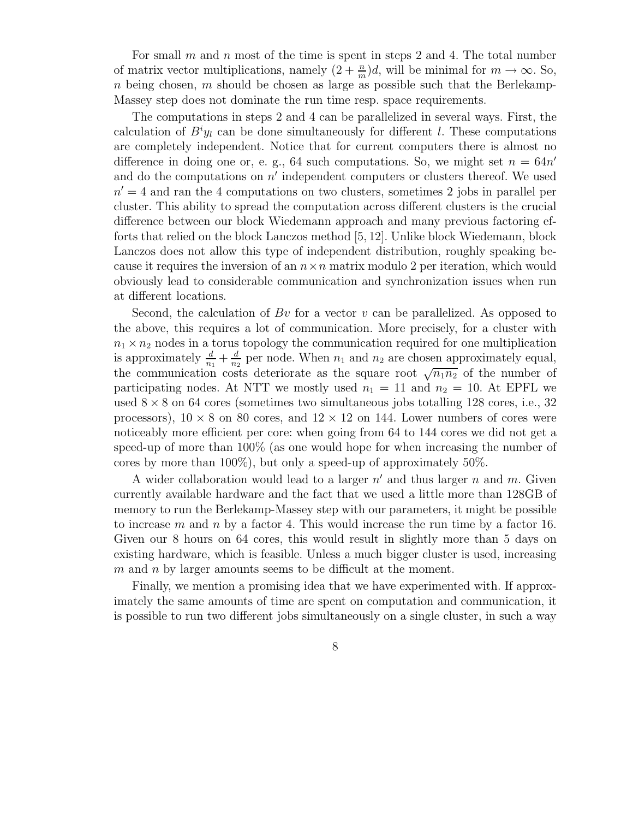For small m and n most of the time is spent in steps 2 and 4. The total number of matrix vector multiplications, namely  $(2 + \frac{n}{m})d$ , will be minimal for  $m \to \infty$ . So, n being chosen, m should be chosen as large as possible such that the Berlekamp-Massey step does not dominate the run time resp. space requirements.

The computations in steps 2 and 4 can be parallelized in several ways. First, the calculation of  $B^i y_l$  can be done simultaneously for different l. These computations are completely independent. Notice that for current computers there is almost no difference in doing one or, e. g., 64 such computations. So, we might set  $n = 64n'$ and do the computations on  $n'$  independent computers or clusters thereof. We used  $n' = 4$  and ran the 4 computations on two clusters, sometimes 2 jobs in parallel per cluster. This ability to spread the computation across different clusters is the crucial difference between our block Wiedemann approach and many previous factoring efforts that relied on the block Lanczos method [5, 12]. Unlike block Wiedemann, block Lanczos does not allow this type of independent distribution, roughly speaking because it requires the inversion of an  $n \times n$  matrix modulo 2 per iteration, which would obviously lead to considerable communication and synchronization issues when run at different locations.

Second, the calculation of Bv for a vector v can be parallelized. As opposed to the above, this requires a lot of communication. More precisely, for a cluster with  $n_1 \times n_2$  nodes in a torus topology the communication required for one multiplication is approximately  $\frac{d}{n_1} + \frac{d}{n_2}$  $\frac{d}{n_2}$  per node. When  $n_1$  and  $n_2$  are chosen approximately equal, the communication costs deteriorate as the square root  $\sqrt{n_1 n_2}$  of the number of participating nodes. At NTT we mostly used  $n_1 = 11$  and  $n_2 = 10$ . At EPFL we used  $8 \times 8$  on 64 cores (sometimes two simultaneous jobs totalling 128 cores, i.e., 32 processors),  $10 \times 8$  on 80 cores, and  $12 \times 12$  on 144. Lower numbers of cores were noticeably more efficient per core: when going from 64 to 144 cores we did not get a speed-up of more than 100% (as one would hope for when increasing the number of cores by more than 100%), but only a speed-up of approximately 50%.

A wider collaboration would lead to a larger  $n'$  and thus larger n and m. Given currently available hardware and the fact that we used a little more than 128GB of memory to run the Berlekamp-Massey step with our parameters, it might be possible to increase m and n by a factor 4. This would increase the run time by a factor 16. Given our 8 hours on 64 cores, this would result in slightly more than 5 days on existing hardware, which is feasible. Unless a much bigger cluster is used, increasing  $m$  and n by larger amounts seems to be difficult at the moment.

Finally, we mention a promising idea that we have experimented with. If approximately the same amounts of time are spent on computation and communication, it is possible to run two different jobs simultaneously on a single cluster, in such a way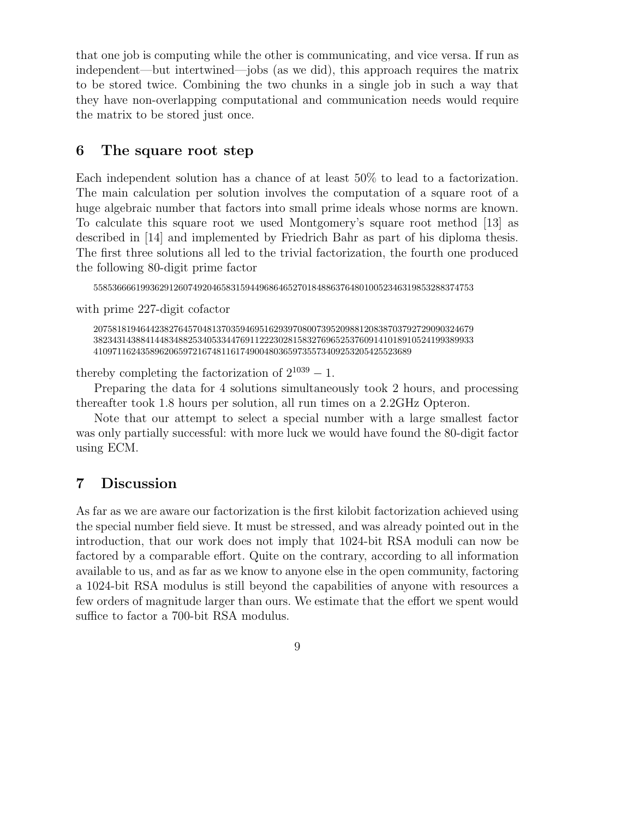that one job is computing while the other is communicating, and vice versa. If run as independent—but intertwined—jobs (as we did), this approach requires the matrix to be stored twice. Combining the two chunks in a single job in such a way that they have non-overlapping computational and communication needs would require the matrix to be stored just once.

## 6 The square root step

Each independent solution has a chance of at least 50% to lead to a factorization. The main calculation per solution involves the computation of a square root of a huge algebraic number that factors into small prime ideals whose norms are known. To calculate this square root we used Montgomery's square root method [13] as described in [14] and implemented by Friedrich Bahr as part of his diploma thesis. The first three solutions all led to the trivial factorization, the fourth one produced the following 80-digit prime factor

55853666619936291260749204658315944968646527018488637648010052346319853288374753

with prime 227-digit cofactor

20758181946442382764570481370359469516293970800739520988120838703792729090324679 38234314388414483488253405334476911222302815832769652537609141018910524199389933 4109711624358962065972167481161749004803659735573409253205425523689

thereby completing the factorization of  $2^{1039} - 1$ .

Preparing the data for 4 solutions simultaneously took 2 hours, and processing thereafter took 1.8 hours per solution, all run times on a 2.2GHz Opteron.

Note that our attempt to select a special number with a large smallest factor was only partially successful: with more luck we would have found the 80-digit factor using ECM.

## 7 Discussion

As far as we are aware our factorization is the first kilobit factorization achieved using the special number field sieve. It must be stressed, and was already pointed out in the introduction, that our work does not imply that 1024-bit RSA moduli can now be factored by a comparable effort. Quite on the contrary, according to all information available to us, and as far as we know to anyone else in the open community, factoring a 1024-bit RSA modulus is still beyond the capabilities of anyone with resources a few orders of magnitude larger than ours. We estimate that the effort we spent would suffice to factor a 700-bit RSA modulus.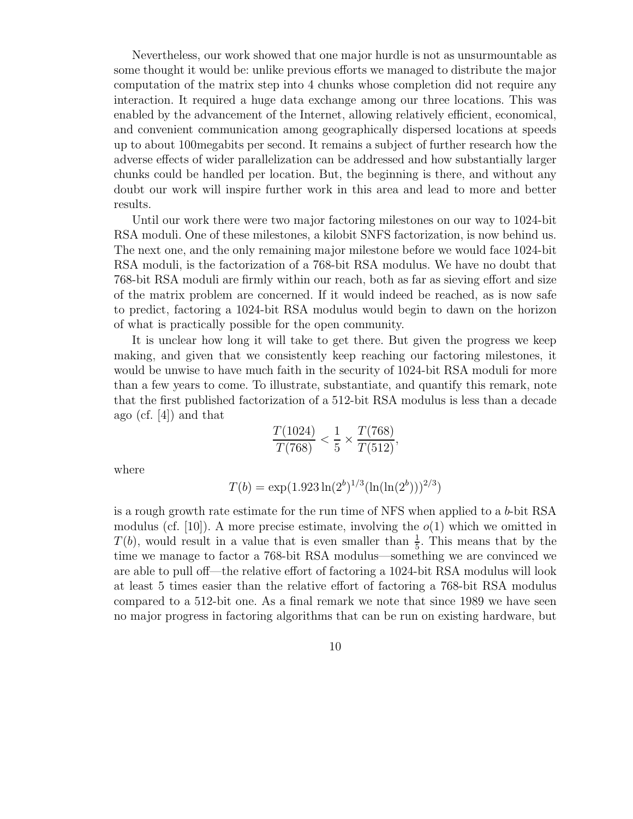Nevertheless, our work showed that one major hurdle is not as unsurmountable as some thought it would be: unlike previous efforts we managed to distribute the major computation of the matrix step into 4 chunks whose completion did not require any interaction. It required a huge data exchange among our three locations. This was enabled by the advancement of the Internet, allowing relatively efficient, economical, and convenient communication among geographically dispersed locations at speeds up to about 100megabits per second. It remains a subject of further research how the adverse effects of wider parallelization can be addressed and how substantially larger chunks could be handled per location. But, the beginning is there, and without any doubt our work will inspire further work in this area and lead to more and better results.

Until our work there were two major factoring milestones on our way to 1024-bit RSA moduli. One of these milestones, a kilobit SNFS factorization, is now behind us. The next one, and the only remaining major milestone before we would face 1024-bit RSA moduli, is the factorization of a 768-bit RSA modulus. We have no doubt that 768-bit RSA moduli are firmly within our reach, both as far as sieving effort and size of the matrix problem are concerned. If it would indeed be reached, as is now safe to predict, factoring a 1024-bit RSA modulus would begin to dawn on the horizon of what is practically possible for the open community.

It is unclear how long it will take to get there. But given the progress we keep making, and given that we consistently keep reaching our factoring milestones, it would be unwise to have much faith in the security of 1024-bit RSA moduli for more than a few years to come. To illustrate, substantiate, and quantify this remark, note that the first published factorization of a 512-bit RSA modulus is less than a decade ago (cf. [4]) and that

$$
\frac{T(1024)}{T(768)} < \frac{1}{5} \times \frac{T(768)}{T(512)},
$$

where

$$
T(b) = \exp(1.923 \ln(2^b)^{1/3} (\ln(\ln(2^b)))^{2/3})
$$

is a rough growth rate estimate for the run time of NFS when applied to a b-bit RSA modulus (cf. [10]). A more precise estimate, involving the  $o(1)$  which we omitted in  $T(b)$ , would result in a value that is even smaller than  $\frac{1}{5}$ . This means that by the time we manage to factor a 768-bit RSA modulus—something we are convinced we are able to pull off—the relative effort of factoring a 1024-bit RSA modulus will look at least 5 times easier than the relative effort of factoring a 768-bit RSA modulus compared to a 512-bit one. As a final remark we note that since 1989 we have seen no major progress in factoring algorithms that can be run on existing hardware, but